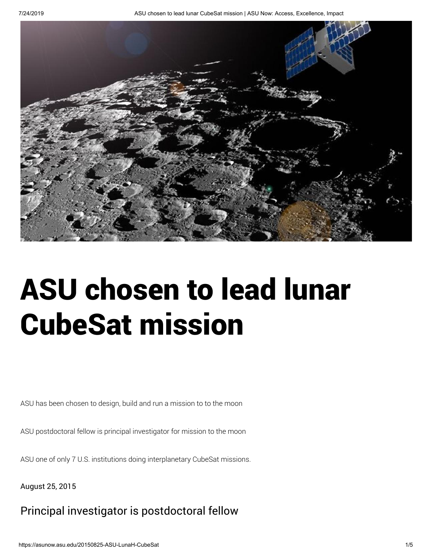

# ASU chosen to lead lunar CubeSat mission

ASU has been chosen to design, build and run a mission to to the moon

ASU postdoctoral fellow is principal investigator for mission to the moon

ASU one of only 7 U.S. institutions doing interplanetary CubeSat missions.

August 25, 2015

# Principal investigator is postdoctoral fellow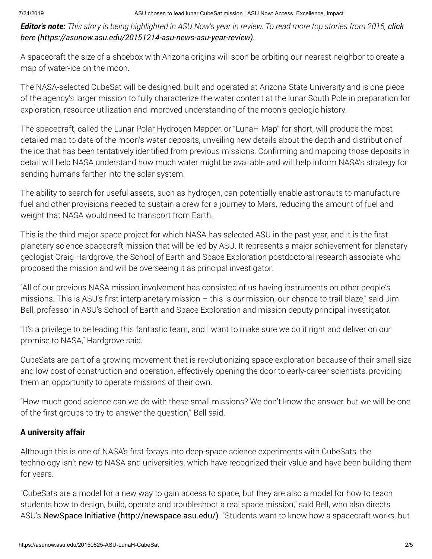## 7/24/2019 ASU chosen to lead lunar CubeSat mission | ASU Now: Access, Excellence, Impact

**Editor's note:** [This story is being highlighted in ASU Now's year in review. To read more top stories from 2015,](https://asunow.asu.edu/20151214-asu-news-asu-year-review) click here (https://asunow.asu.edu/20151214-asu-news-asu-year-review).

A spacecraft the size of a shoebox with Arizona origins will soon be orbiting our nearest neighbor to create a map of water-ice on the moon.

The NASA-selected CubeSat will be designed, built and operated at Arizona State University and is one piece of the agency's larger mission to fully characterize the water content at the lunar South Pole in preparation for exploration, resource utilization and improved understanding of the moon's geologic history.

The spacecraft, called the Lunar Polar Hydrogen Mapper, or "LunaH-Map" for short, will produce the most detailed map to date of the moon's water deposits, unveiling new details about the depth and distribution of the ice that has been tentatively identified from previous missions. Confirming and mapping those deposits in detail will help NASA understand how much water might be available and will help inform NASA's strategy for sending humans farther into the solar system.

The ability to search for useful assets, such as hydrogen, can potentially enable astronauts to manufacture fuel and other provisions needed to sustain a crew for a journey to Mars, reducing the amount of fuel and weight that NASA would need to transport from Earth.

This is the third major space project for which NASA has selected ASU in the past year, and it is the first planetary science spacecraft mission that will be led by ASU. It represents a major achievement for planetary geologist Craig Hardgrove, the School of Earth and Space Exploration postdoctoral research associate who proposed the mission and will be overseeing it as principal investigator.

"All of our previous NASA mission involvement has consisted of us having instruments on other people's missions. This is ASU's first interplanetary mission – this is our mission, our chance to trail blaze," said Jim Bell, professor in ASU's School of Earth and Space Exploration and mission deputy principal investigator.

"It's a privilege to be leading this fantastic team, and I want to make sure we do it right and deliver on our promise to NASA," Hardgrove said.

CubeSats are part of a growing movement that is revolutionizing space exploration because of their small size and low cost of construction and operation, effectively opening the door to early-career scientists, providing them an opportunity to operate missions of their own.

"How much good science can we do with these small missions? We don't know the answer, but we will be one of the first groups to try to answer the question," Bell said.

# A university affair

Although this is one of NASA's first forays into deep-space science experiments with CubeSats, the technology isn't new to NASA and universities, which have recognized their value and have been building them for years.

"CubeSats are a model for a new way to gain access to space, but they are also a model for how to teach students how to design, build, operate and troubleshoot a real space mission," said Bell, who also directs ASU's [NewSpace Initiative \(http://newspace.asu.edu/\)](http://newspace.asu.edu/). "Students want to know how a spacecraft works, but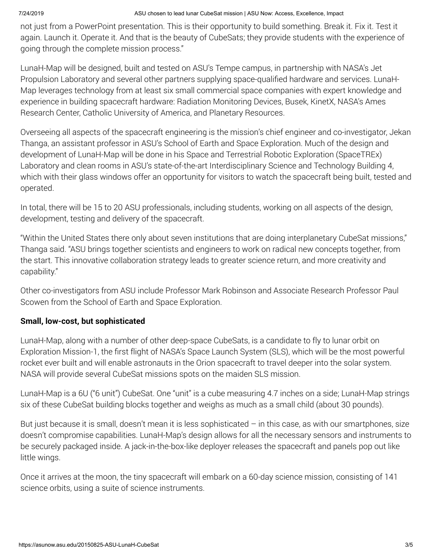### 7/24/2019 ASU chosen to lead lunar CubeSat mission | ASU Now: Access, Excellence, Impact

not just from a PowerPoint presentation. This is their opportunity to build something. Break it. Fix it. Test it again. Launch it. Operate it. And that is the beauty of CubeSats; they provide students with the experience of going through the complete mission process."

LunaH-Map will be designed, built and tested on ASU's Tempe campus, in partnership with NASA's Jet Propulsion Laboratory and several other partners supplying space-qualified hardware and services. LunaH-Map leverages technology from at least six small commercial space companies with expert knowledge and experience in building spacecraft hardware: Radiation Monitoring Devices, Busek, KinetX, NASA's Ames Research Center, Catholic University of America, and Planetary Resources.

Overseeing all aspects of the spacecraft engineering is the mission's chief engineer and co-investigator, Jekan Thanga, an assistant professor in ASU's School of Earth and Space Exploration. Much of the design and development of LunaH-Map will be done in his Space and Terrestrial Robotic Exploration (SpaceTREx) Laboratory and clean rooms in ASU's state-of-the-art Interdisciplinary Science and Technology Building 4, which with their glass windows offer an opportunity for visitors to watch the spacecraft being built, tested and operated.

In total, there will be 15 to 20 ASU professionals, including students, working on all aspects of the design, development, testing and delivery of the spacecraft.

"Within the United States there only about seven institutions that are doing interplanetary CubeSat missions," Thanga said. "ASU brings together scientists and engineers to work on radical new concepts together, from the start. This innovative collaboration strategy leads to greater science return, and more creativity and capability."

Other co-investigators from ASU include Professor Mark Robinson and Associate Research Professor Paul Scowen from the School of Earth and Space Exploration.

## Small, low-cost, but sophisticated

LunaH-Map, along with a number of other deep-space CubeSats, is a candidate to fly to lunar orbit on Exploration Mission-1, the first flight of NASA's Space Launch System (SLS), which will be the most powerful rocket ever built and will enable astronauts in the Orion spacecraft to travel deeper into the solar system. NASA will provide several CubeSat missions spots on the maiden SLS mission.

LunaH-Map is a 6U ("6 unit") CubeSat. One "unit" is a cube measuring 4.7 inches on a side; LunaH-Map strings six of these CubeSat building blocks together and weighs as much as a small child (about 30 pounds).

But just because it is small, doesn't mean it is less sophisticated – in this case, as with our smartphones, size doesn't compromise capabilities. LunaH-Map's design allows for all the necessary sensors and instruments to be securely packaged inside. A jack-in-the-box-like deployer releases the spacecraft and panels pop out like little wings.

Once it arrives at the moon, the tiny spacecraft will embark on a 60-day science mission, consisting of 141 science orbits, using a suite of science instruments.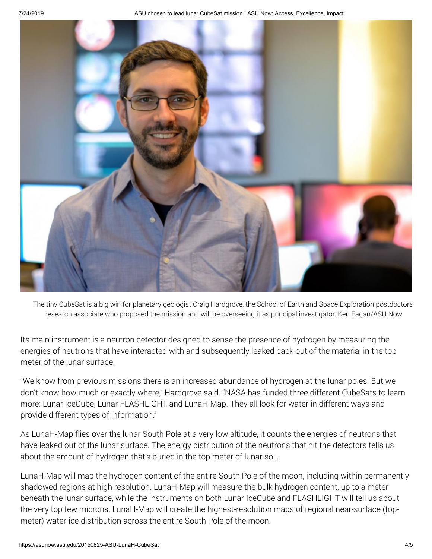

The tiny CubeSat is a big win for planetary geologist Craig Hardgrove, the School of Earth and Space Exploration postdoctora research associate who proposed the mission and will be overseeing it as principal investigator. Ken Fagan/ASU Now

Its main instrument is a neutron detector designed to sense the presence of hydrogen by measuring the energies of neutrons that have interacted with and subsequently leaked back out of the material in the top meter of the lunar surface.

"We know from previous missions there is an increased abundance of hydrogen at the lunar poles. But we don't know how much or exactly where," Hardgrove said. "NASA has funded three different CubeSats to learn more: Lunar IceCube, Lunar FLASHLIGHT and LunaH-Map. They all look for water in different ways and provide different types of information."

As LunaH-Map flies over the lunar South Pole at a very low altitude, it counts the energies of neutrons that have leaked out of the lunar surface. The energy distribution of the neutrons that hit the detectors tells us about the amount of hydrogen that's buried in the top meter of lunar soil.

LunaH-Map will map the hydrogen content of the entire South Pole of the moon, including within permanently shadowed regions at high resolution. LunaH-Map will measure the bulk hydrogen content, up to a meter beneath the lunar surface, while the instruments on both Lunar IceCube and FLASHLIGHT will tell us about the very top few microns. LunaH-Map will create the highest-resolution maps of regional near-surface (topmeter) water-ice distribution across the entire South Pole of the moon.